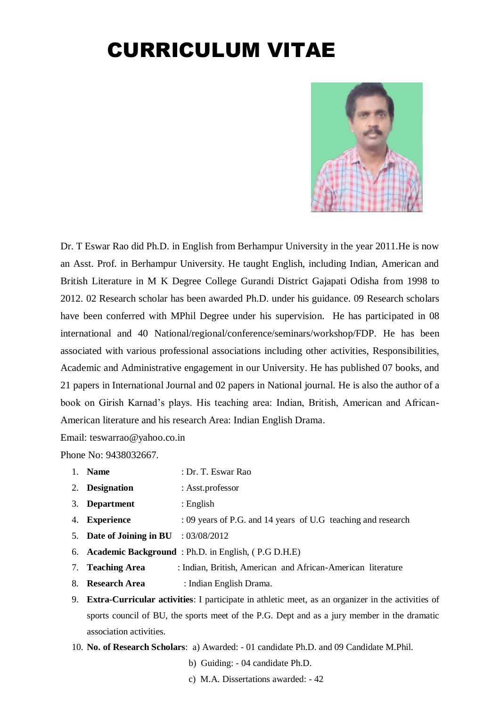# CURRICULUM VITAE



Dr. T Eswar Rao did Ph.D. in English from Berhampur University in the year 2011.He is now an Asst. Prof. in Berhampur University. He taught English, including Indian, American and British Literature in M K Degree College Gurandi District Gajapati Odisha from 1998 to 2012. 02 Research scholar has been awarded Ph.D. under his guidance. 09 Research scholars have been conferred with MPhil Degree under his supervision. He has participated in 08 international and 40 National/regional/conference/seminars/workshop/FDP. He has been associated with various professional associations including other activities, Responsibilities, Academic and Administrative engagement in our University. He has published 07 books, and 21 papers in International Journal and 02 papers in National journal. He is also the author of a book on Girish Karnad's plays. His teaching area: Indian, British, American and African-American literature and his research Area: Indian English Drama.

Email: teswarrao@yahoo.co.in

Phone No: 9438032667.

- 1. **Name** : Dr. T. Eswar Rao
- 2. **Designation** : Asst.professor
- 3. **Department** : English
- 4. **Experience** : 09 years of P.G. and 14 years of U.G teaching and research
- 5. **Date of Joining in BU** : 03/08/2012
- 6. **Academic Background** : Ph.D. in English, ( P.G D.H.E)
- 7. **Teaching Area** : Indian, British, American and African-American literature
- 8. **Research Area** : Indian English Drama.
- 9. **Extra-Curricular activities**: I participate in athletic meet, as an organizer in the activities of sports council of BU, the sports meet of the P.G. Dept and as a jury member in the dramatic association activities.
- 10. **No. of Research Scholars**: a) Awarded: 01 candidate Ph.D. and 09 Candidate M.Phil.
	- b) Guiding: 04 candidate Ph.D.
	- c) M.A. Dissertations awarded: 42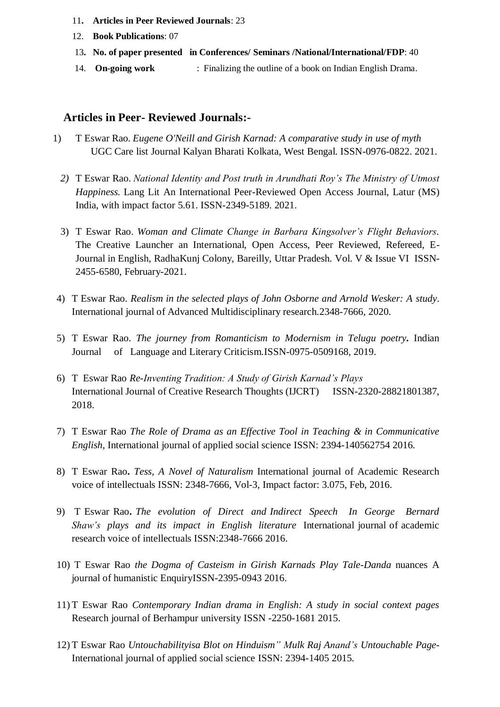- 11**. Articles in Peer Reviewed Journals**: 23
- 12. **Book Publications**: 07
- 13**. No. of paper presented in Conferences/ Seminars /National/International/FDP**: 40
- 14. **On-going work** : Finalizing the outline of a book on Indian English Drama.

## **Articles in Peer- Reviewed Journals:-**

- 1) T Eswar Rao*. Eugene O'Neill and Girish Karnad: A comparative study in use of myth* UGC Care list Journal Kalyan Bharati Kolkata, West Bengal. ISSN-0976-0822. 2021.
	- *2)* T Eswar Rao. *National Identity and Post truth in Arundhati Roy's The Ministry of Utmost Happiness.* Lang Lit An International Peer-Reviewed Open Access Journal, Latur (MS) India, with impact factor 5.61. ISSN-2349-5189. 2021.
	- 3) T Eswar Rao. *Woman and Climate Change in Barbara Kingsolver's Flight Behaviors.* The Creative Launcher an International, Open Access, Peer Reviewed, Refereed, E-Journal in English, RadhaKunj Colony, Bareilly, Uttar Pradesh. Vol. V & Issue VI ISSN-2455-6580, February-2021.
- 4) T Eswar Rao*. Realism in the selected plays of John Osborne and Arnold Wesker: A study*. International journal of Advanced Multidisciplinary research.2348-7666, 2020.
- 5) T Eswar Rao. *The journey from Romanticism to Modernism in Telugu poetry.* Indian Journal of Language and Literary Criticism.ISSN-0975-0509168, 2019.
- 6) T Eswar Rao *Re-Inventing Tradition: A Study of Girish Karnad's Plays* International Journal of Creative Research Thoughts (IJCRT) ISSN-2320-28821801387, 2018.
- 7) T Eswar Rao *The Role of Drama as an Effective Tool in Teaching & in Communicative English,* International journal of applied social science ISSN: 2394-140562754 2016.
- 8) T Eswar Rao**.** *Tess, A Novel of Naturalism* International journal of Academic Research voice of intellectuals ISSN: 2348-7666, Vol-3, Impact factor: 3.075, Feb, 2016.
- 9) T Eswar Rao**.** *The evolution of Direct and Indirect Speech In George Bernard Shaw's plays and its impact in English literature* International journal of academic research voice of intellectuals ISSN:2348-7666 2016.
- 10) T Eswar Rao *the Dogma of Casteism in Girish Karnads Play Tale-Danda* nuances A journal of humanistic EnquiryISSN-2395-0943 2016.
- 11) T Eswar Rao *Contemporary Indian drama in English: A study in social context pages* Research journal of Berhampur university ISSN -2250-1681 2015.
- 12) T Eswar Rao *Untouchabilityisa Blot on Hinduism" Mulk Raj Anand's Untouchable Page-*International journal of applied social science ISSN: 2394-1405 2015.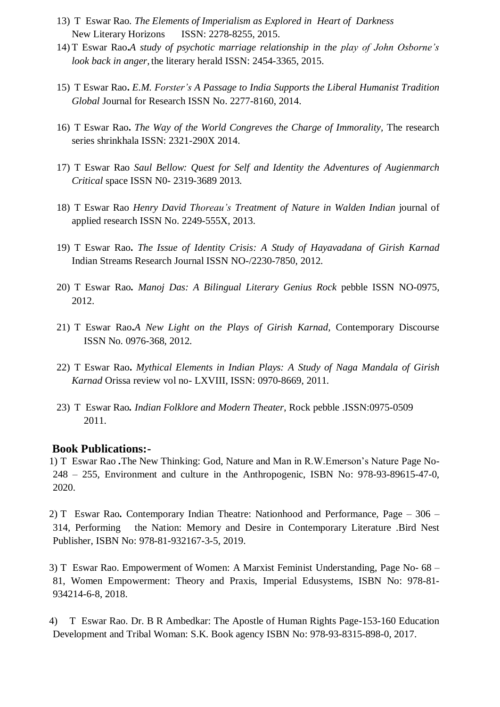- 13) T Eswar Rao*. The Elements of Imperialism as Explored in Heart of Darkness* New Literary Horizons ISSN: 2278-8255, 2015.
- 14) T Eswar Rao**.***A study of psychotic marriage relationship in the play of John Osborne's look back in anger,* the literary herald ISSN: 2454-3365, 2015.
- 15) T Eswar Rao**.** *E.M. Forster's A Passage to India Supports the Liberal Humanist Tradition Global* Journal for Research ISSN No. 2277-8160, 2014.
- 16) T Eswar Rao**.** *The Way of the World Congreves the Charge of Immorality,* The research series shrinkhala ISSN: 2321-290X 2014.
- 17) T Eswar Rao *Saul Bellow: Quest for Self and Identity the Adventures of Augienmarch Critical* space ISSN N0- 2319-3689 2013.
- 18) T Eswar Rao *Henry David Thoreau's Treatment of Nature in Walden Indian* journal of applied research ISSN No. 2249-555X, 2013.
- 19) T Eswar Rao**.** *The Issue of Identity Crisis: A Study of Hayavadana of Girish Karnad*  Indian Streams Research Journal ISSN NO-/2230-7850, 2012.
- 20) T Eswar Rao*. Manoj Das: A Bilingual Literary Genius Rock* pebble ISSN NO-0975, 2012.
- 21) T Eswar Rao**.***A New Light on the Plays of Girish Karnad,* Contemporary Discourse ISSN No. 0976-368, 2012.
- 22) T Eswar Rao**.** *Mythical Elements in Indian Plays: A Study of Naga Mandala of Girish Karnad* Orissa review vol no- LXVIII, ISSN: 0970-8669, 2011.
- 23) T Eswar Rao*. Indian Folklore and Modern Theater*, Rock pebble .ISSN:0975-0509 2011.

#### **Book Publications:-**

1) T Eswar Rao *.*The New Thinking: God, Nature and Man in R.W.Emerson's Nature Page No-248 – 255, Environment and culture in the Anthropogenic, ISBN No: 978-93-89615-47-0, 2020.

2) T Eswar Rao*.* Contemporary Indian Theatre: Nationhood and Performance, Page – 306 – 314, Performing the Nation: Memory and Desire in Contemporary Literature .Bird Nest Publisher, ISBN No: 978-81-932167-3-5, 2019.

3) T Eswar Rao. Empowerment of Women: A Marxist Feminist Understanding, Page No- 68 – 81, Women Empowerment: Theory and Praxis, Imperial Edusystems, ISBN No: 978-81- 934214-6-8, 2018.

4) T Eswar Rao. Dr. B R Ambedkar: The Apostle of Human Rights Page-153-160 Education Development and Tribal Woman: S.K. Book agency ISBN No: 978-93-8315-898-0, 2017.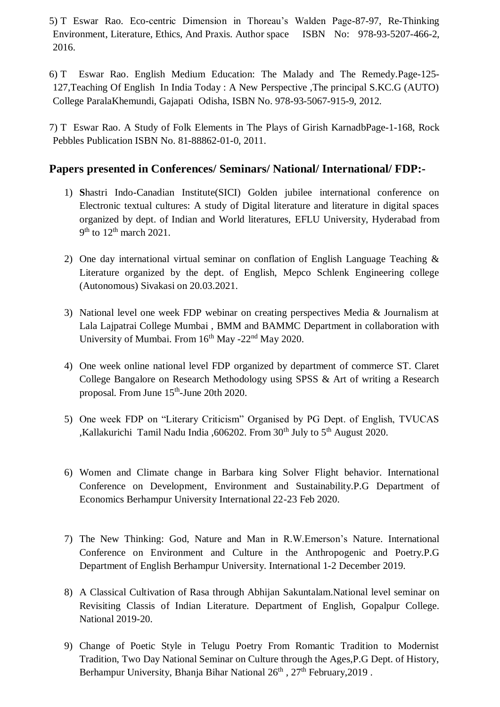5) T Eswar Rao. Eco-centric Dimension in Thoreau's Walden Page-87-97, Re-Thinking Environment, Literature, Ethics, And Praxis. Author space ISBN No: 978-93-5207-466-2, 2016.

6) T Eswar Rao. English Medium Education: The Malady and The Remedy.Page-125- 127,Teaching Of English In India Today : A New Perspective ,The principal S.KC.G (AUTO) College ParalaKhemundi, Gajapati Odisha, ISBN No. 978-93-5067-915-9, 2012.

7) T Eswar Rao. A Study of Folk Elements in The Plays of Girish KarnadbPage-1-168, Rock Pebbles Publication ISBN No. 81-88862-01-0, 2011.

# **Papers presented in Conferences/ Seminars/ National/ International/ FDP:-**

- 1) **S**hastri Indo-Canadian Institute(SICI) Golden jubilee international conference on Electronic textual cultures: A study of Digital literature and literature in digital spaces organized by dept. of Indian and World literatures, EFLU University, Hyderabad from  $9<sup>th</sup>$  to  $12<sup>th</sup>$  march 2021.
- 2) One day international virtual seminar on conflation of English Language Teaching & Literature organized by the dept. of English, Mepco Schlenk Engineering college (Autonomous) Sivakasi on 20.03.2021.
- 3) National level one week FDP webinar on creating perspectives Media & Journalism at Lala Lajpatrai College Mumbai , BMM and BAMMC Department in collaboration with University of Mumbai. From  $16<sup>th</sup>$  May -22<sup>nd</sup> May 2020.
- 4) One week online national level FDP organized by department of commerce ST. Claret College Bangalore on Research Methodology using SPSS & Art of writing a Research proposal. From June 15<sup>th</sup>-June 20th 2020.
- 5) One week FDP on "Literary Criticism" Organised by PG Dept. of English, TVUCAS ,Kallakurichi Tamil Nadu India ,606202. From 30<sup>th</sup> July to 5<sup>th</sup> August 2020.
- 6) Women and Climate change in Barbara king Solver Flight behavior. International Conference on Development, Environment and Sustainability.P.G Department of Economics Berhampur University International 22-23 Feb 2020.
- 7) The New Thinking: God, Nature and Man in R.W.Emerson's Nature. International Conference on Environment and Culture in the Anthropogenic and Poetry.P.G Department of English Berhampur University. International 1-2 December 2019.
- 8) A Classical Cultivation of Rasa through Abhijan Sakuntalam.National level seminar on Revisiting Classis of Indian Literature. Department of English, Gopalpur College. National 2019-20.
- 9) Change of Poetic Style in Telugu Poetry From Romantic Tradition to Modernist Tradition, Two Day National Seminar on Culture through the Ages,P.G Dept. of History, Berhampur University, Bhanja Bihar National 26<sup>th</sup>, 27<sup>th</sup> February, 2019.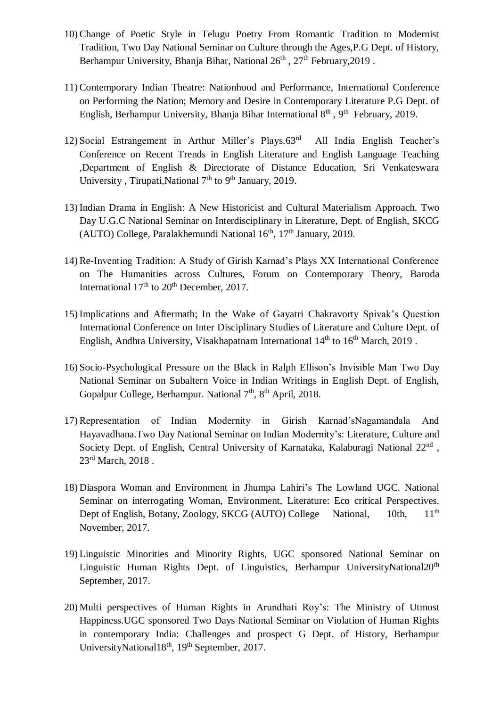- 10) Change of Poetic Style in Telugu Poetry From Romantic Tradition to Modernist Tradition, Two Day National Seminar on Culture through the Ages,P.G Dept. of History, Berhampur University, Bhanja Bihar, National  $26<sup>th</sup>$ ,  $27<sup>th</sup>$  February, 2019.
- 11) Contemporary Indian Theatre: Nationhood and Performance, International Conference on Performing the Nation; Memory and Desire in Contemporary Literature P.G Dept. of English, Berhampur University, Bhanja Bihar International 8<sup>th</sup>, 9<sup>th</sup> February, 2019.
- 12) Social Estrangement in Arthur Miller's Plays. $63<sup>rd</sup>$  All India English Teacher's Conference on Recent Trends in English Literature and English Language Teaching ,Department of English & Directorate of Distance Education, Sri Venkateswara University , Tirupati, National  $7<sup>th</sup>$  to  $9<sup>th</sup>$  January, 2019.
- 13) Indian Drama in English: A New Historicist and Cultural Materialism Approach. Two Day U.G.C National Seminar on Interdisciplinary in Literature, Dept. of English, SKCG (AUTO) College, Paralakhemundi National 16<sup>th</sup>, 17<sup>th</sup> January, 2019.
- 14) Re-Inventing Tradition: A Study of Girish Karnad's Plays XX International Conference on The Humanities across Cultures, Forum on Contemporary Theory, Baroda International  $17<sup>th</sup>$  to  $20<sup>th</sup>$  December, 2017.
- 15) Implications and Aftermath; In the Wake of Gayatri Chakravorty Spivak's Question International Conference on Inter Disciplinary Studies of Literature and Culture Dept. of English, Andhra University, Visakhapatnam International  $14<sup>th</sup>$  to  $16<sup>th</sup>$  March, 2019.
- 16) Socio-Psychological Pressure on the Black in Ralph Ellison's Invisible Man Two Day National Seminar on Subaltern Voice in Indian Writings in English Dept. of English, Gopalpur College, Berhampur. National 7<sup>th</sup>, 8<sup>th</sup> April, 2018.
- 17) Representation of Indian Modernity in Girish Karnad'sNagamandala And Hayavadhana.Two Day National Seminar on Indian Modernity's: Literature, Culture and Society Dept. of English, Central University of Karnataka, Kalaburagi National 22<sup>nd</sup>, 23<sup>rd</sup> March, 2018.
- 18) Diaspora Woman and Environment in Jhumpa Lahiri's The Lowland UGC. National Seminar on interrogating Woman, Environment, Literature: Eco critical Perspectives. Dept of English, Botany, Zoology, SKCG (AUTO) College National, 10th, 11<sup>th</sup> November, 2017.
- 19) Linguistic Minorities and Minority Rights, UGC sponsored National Seminar on Linguistic Human Rights Dept. of Linguistics, Berhampur UniversityNational20<sup>th</sup> September, 2017.
- 20) Multi perspectives of Human Rights in Arundhati Roy's: The Ministry of Utmost Happiness.UGC sponsored Two Days National Seminar on Violation of Human Rights in contemporary India: Challenges and prospect G Dept. of History, Berhampur UniversityNational18<sup>th</sup>, 19<sup>th</sup> September, 2017.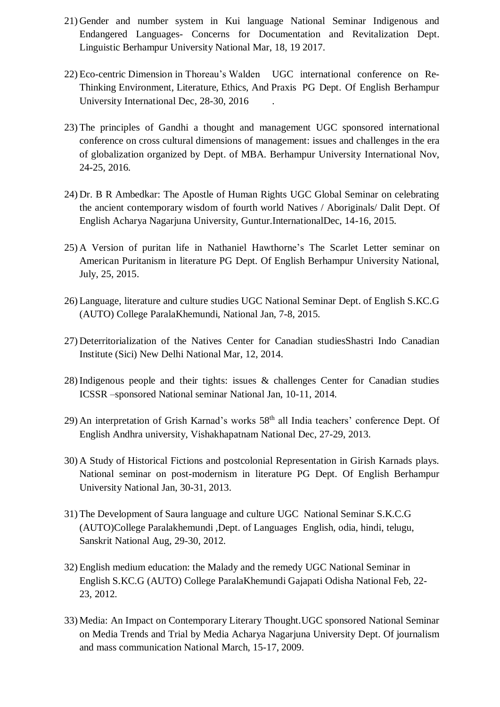- 21) Gender and number system in Kui language National Seminar Indigenous and Endangered Languages- Concerns for Documentation and Revitalization Dept. Linguistic Berhampur University National Mar, 18, 19 2017.
- 22) Eco-centric Dimension in Thoreau's Walden UGC international conference on Re-Thinking Environment, Literature, Ethics, And Praxis PG Dept. Of English Berhampur University International Dec, 28-30, 2016 .
- 23) The principles of Gandhi a thought and management UGC sponsored international conference on cross cultural dimensions of management: issues and challenges in the era of globalization organized by Dept. of MBA. Berhampur University International Nov, 24-25, 2016.
- 24) Dr. B R Ambedkar: The Apostle of Human Rights UGC Global Seminar on celebrating the ancient contemporary wisdom of fourth world Natives / Aboriginals/ Dalit Dept. Of English Acharya Nagarjuna University, Guntur.InternationalDec, 14-16, 2015.
- 25) A Version of puritan life in Nathaniel Hawthorne's The Scarlet Letter seminar on American Puritanism in literature PG Dept. Of English Berhampur University National, July, 25, 2015.
- 26) Language, literature and culture studies UGC National Seminar Dept. of English S.KC.G (AUTO) College ParalaKhemundi, National Jan, 7-8, 2015.
- 27) Deterritorialization of the Natives Center for Canadian studiesShastri Indo Canadian Institute (Sici) New Delhi National Mar, 12, 2014.
- 28) Indigenous people and their tights: issues & challenges Center for Canadian studies ICSSR –sponsored National seminar National Jan, 10-11, 2014.
- 29) An interpretation of Grish Karnad's works 58<sup>th</sup> all India teachers' conference Dept. Of English Andhra university, Vishakhapatnam National Dec, 27-29, 2013.
- 30) A Study of Historical Fictions and postcolonial Representation in Girish Karnads plays. National seminar on post-modernism in literature PG Dept. Of English Berhampur University National Jan, 30-31, 2013.
- 31) The Development of Saura language and culture UGC National Seminar S.K.C.G (AUTO)College Paralakhemundi ,Dept. of Languages English, odia, hindi, telugu, Sanskrit National Aug, 29-30, 2012.
- 32) English medium education: the Malady and the remedy UGC National Seminar in English S.KC.G (AUTO) College ParalaKhemundi Gajapati Odisha National Feb, 22- 23, 2012.
- 33) Media: An Impact on Contemporary Literary Thought.UGC sponsored National Seminar on Media Trends and Trial by Media Acharya Nagarjuna University Dept. Of journalism and mass communication National March, 15-17, 2009.